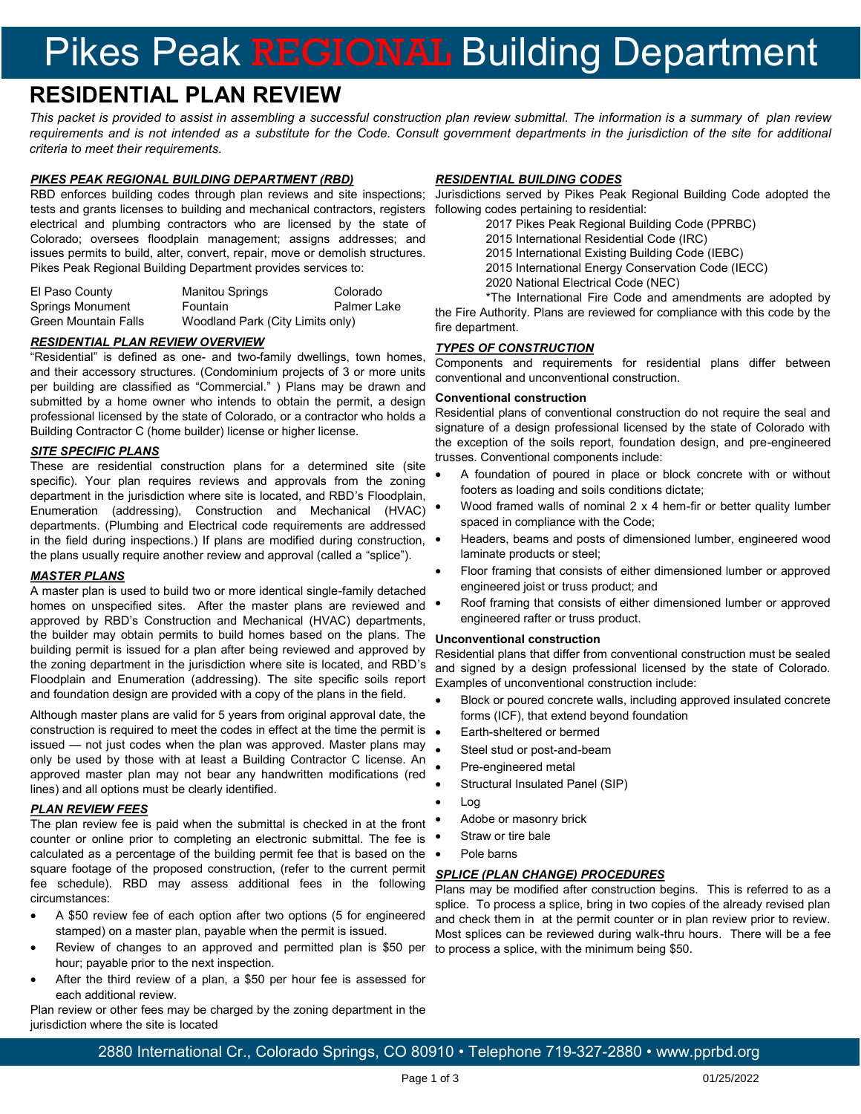# Pikes Peak REGIONAL Building Department

# **RESIDENTIAL PLAN REVIEW**

*This packet is provided to assist in assembling a successful construction plan review submittal. The information is a summary of plan review requirements and is not intended as a substitute for the Code. Consult government departments in the jurisdiction of the site for additional criteria to meet their requirements.* 

### *PIKES PEAK REGIONAL BUILDING DEPARTMENT (RBD)*

RBD enforces building codes through plan reviews and site inspections; tests and grants licenses to building and mechanical contractors, registers electrical and plumbing contractors who are licensed by the state of Colorado; oversees floodplain management; assigns addresses; and issues permits to build, alter, convert, repair, move or demolish structures. Pikes Peak Regional Building Department provides services to:

| El Paso County          | <b>Manitou Springs</b>           | Colorado    |
|-------------------------|----------------------------------|-------------|
| <b>Springs Monument</b> | <b>Fountain</b>                  | Palmer Lake |
| Green Mountain Falls    | Woodland Park (City Limits only) |             |

### *RESIDENTIAL PLAN REVIEW OVERVIEW*

"Residential" is defined as one- and two-family dwellings, town homes, and their accessory structures. (Condominium projects of 3 or more units per building are classified as "Commercial." ) Plans may be drawn and submitted by a home owner who intends to obtain the permit, a design professional licensed by the state of Colorado, or a contractor who holds a Building Contractor C (home builder) license or higher license.

### *SITE SPECIFIC PLANS*

These are residential construction plans for a determined site (site specific). Your plan requires reviews and approvals from the zoning department in the jurisdiction where site is located, and RBD's Floodplain, Enumeration (addressing), Construction and Mechanical (HVAC) departments. (Plumbing and Electrical code requirements are addressed in the field during inspections.) If plans are modified during construction,  $\bullet$ the plans usually require another review and approval (called a "splice").

### *MASTER PLANS*

A master plan is used to build two or more identical single-family detached homes on unspecified sites. After the master plans are reviewed and approved by RBD's Construction and Mechanical (HVAC) departments, the builder may obtain permits to build homes based on the plans. The building permit is issued for a plan after being reviewed and approved by the zoning department in the jurisdiction where site is located, and RBD's Floodplain and Enumeration (addressing). The site specific soils report and foundation design are provided with a copy of the plans in the field.

Although master plans are valid for 5 years from original approval date, the construction is required to meet the codes in effect at the time the permit is issued — not just codes when the plan was approved. Master plans may only be used by those with at least a Building Contractor C license. An approved master plan may not bear any handwritten modifications (red lines) and all options must be clearly identified.

### *PLAN REVIEW FEES*

The plan review fee is paid when the submittal is checked in at the front counter or online prior to completing an electronic submittal. The fee is calculated as a percentage of the building permit fee that is based on the square footage of the proposed construction, (refer to the current permit fee schedule). RBD may assess additional fees in the following circumstances:

- A \$50 review fee of each option after two options (5 for engineered stamped) on a master plan, payable when the permit is issued.
- Review of changes to an approved and permitted plan is \$50 per hour; payable prior to the next inspection.
- After the third review of a plan, a \$50 per hour fee is assessed for each additional review.

Plan review or other fees may be charged by the zoning department in the jurisdiction where the site is located

# *RESIDENTIAL BUILDING CODES*

Jurisdictions served by Pikes Peak Regional Building Code adopted the following codes pertaining to residential:

- 2017 Pikes Peak Regional Building Code (PPRBC)
- 2015 International Residential Code (IRC)
- 2015 International Existing Building Code (IEBC)
- 2015 International Energy Conservation Code (IECC)
- 2020 National Electrical Code (NEC)

\*The International Fire Code and amendments are adopted by the Fire Authority. Plans are reviewed for compliance with this code by the fire department.

### *TYPES OF CONSTRUCTION*

Components and requirements for residential plans differ between conventional and unconventional construction.

#### **Conventional construction**

Residential plans of conventional construction do not require the seal and signature of a design professional licensed by the state of Colorado with the exception of the soils report, foundation design, and pre-engineered trusses. Conventional components include:

- A foundation of poured in place or block concrete with or without footers as loading and soils conditions dictate;
- Wood framed walls of nominal 2 x 4 hem-fir or better quality lumber spaced in compliance with the Code;
- Headers, beams and posts of dimensioned lumber, engineered wood laminate products or steel;
- Floor framing that consists of either dimensioned lumber or approved engineered joist or truss product; and
- Roof framing that consists of either dimensioned lumber or approved engineered rafter or truss product.

#### **Unconventional construction**

Residential plans that differ from conventional construction must be sealed and signed by a design professional licensed by the state of Colorado. Examples of unconventional construction include:

- Block or poured concrete walls, including approved insulated concrete forms (ICF), that extend beyond foundation
- Earth-sheltered or bermed
- Steel stud or post-and-beam
- Pre-engineered metal
- Structural Insulated Panel (SIP)
- Log
- Adobe or masonry brick
- Straw or tire bale
- Pole barns

### *SPLICE (PLAN CHANGE) PROCEDURES*

Plans may be modified after construction begins. This is referred to as a splice. To process a splice, bring in two copies of the already revised plan and check them in at the permit counter or in plan review prior to review. Most splices can be reviewed during walk-thru hours. There will be a fee to process a splice, with the minimum being \$50.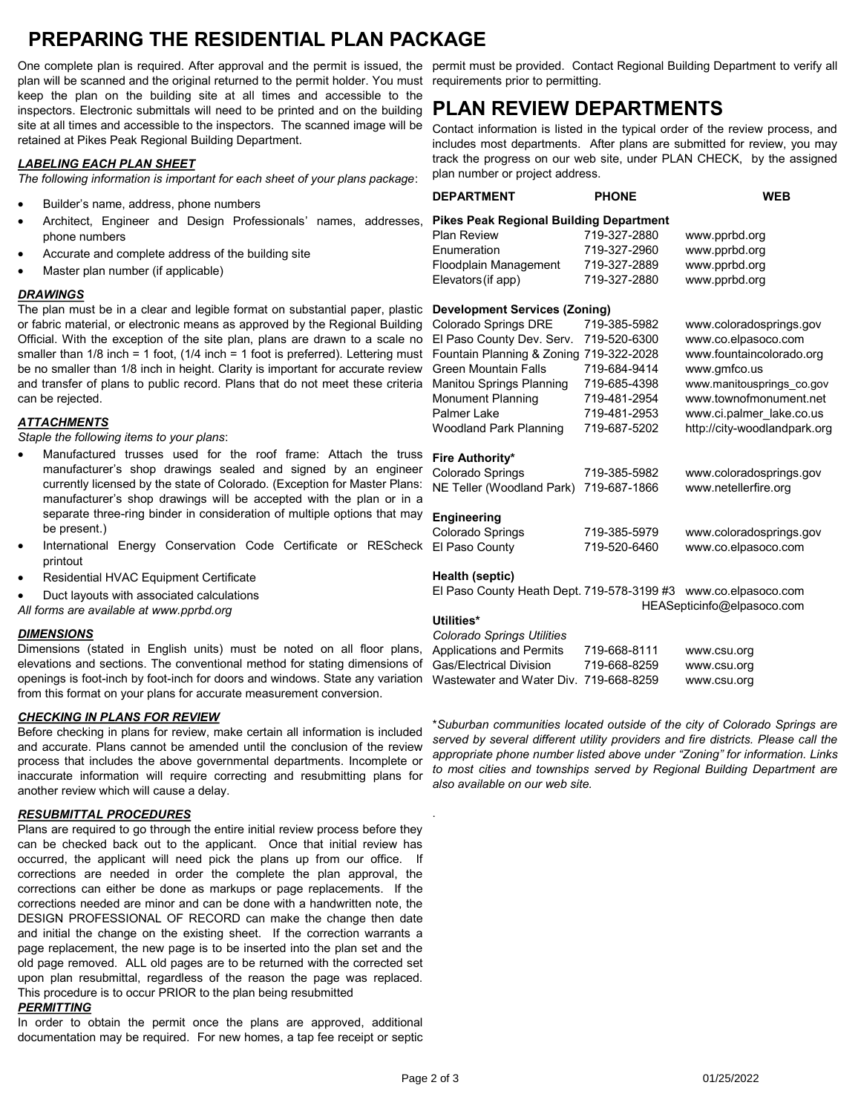# **PREPARING THE RESIDENTIAL PLAN PACKAGE**

One complete plan is required. After approval and the permit is issued, the permit must be provided. Contact Regional Building Department to verify all plan will be scanned and the original returned to the permit holder. You must requirements prior to permitting. keep the plan on the building site at all times and accessible to the inspectors. Electronic submittals will need to be printed and on the building site at all times and accessible to the inspectors. The scanned image will be retained at Pikes Peak Regional Building Department.

# *LABELING EACH PLAN SHEET*

*The following information is important for each sheet of your plans package*:

- Builder's name, address, phone numbers
- Architect, Engineer and Design Professionals' names, addresses, phone numbers
- Accurate and complete address of the building site
- Master plan number (if applicable)

# *DRAWINGS*

The plan must be in a clear and legible format on substantial paper, plastic or fabric material, or electronic means as approved by the Regional Building Official. With the exception of the site plan, plans are drawn to a scale no smaller than  $1/8$  inch = 1 foot,  $(1/4$  inch = 1 foot is preferred). Lettering must be no smaller than 1/8 inch in height. Clarity is important for accurate review and transfer of plans to public record. Plans that do not meet these criteria can be rejected.

# *ATTACHMENTS*

*Staple the following items to your plans*:

- Manufactured trusses used for the roof frame: Attach the truss manufacturer's shop drawings sealed and signed by an engineer currently licensed by the state of Colorado. (Exception for Master Plans: manufacturer's shop drawings will be accepted with the plan or in a separate three-ring binder in consideration of multiple options that may be present.)
- International Energy Conservation Code Certificate or REScheck printout
- Residential HVAC Equipment Certificate
- Duct layouts with associated calculations

*All forms are available at www.pprbd.org*

# *DIMENSIONS*

Dimensions (stated in English units) must be noted on all floor plans, elevations and sections. The conventional method for stating dimensions of openings is foot-inch by foot-inch for doors and windows. State any variation from this format on your plans for accurate measurement conversion.

# *CHECKING IN PLANS FOR REVIEW*

Before checking in plans for review, make certain all information is included and accurate. Plans cannot be amended until the conclusion of the review process that includes the above governmental departments. Incomplete or inaccurate information will require correcting and resubmitting plans for another review which will cause a delay.

# *RESUBMITTAL PROCEDURES*

Plans are required to go through the entire initial review process before they can be checked back out to the applicant. Once that initial review has occurred, the applicant will need pick the plans up from our office. If corrections are needed in order the complete the plan approval, the corrections can either be done as markups or page replacements. If the corrections needed are minor and can be done with a handwritten note, the DESIGN PROFESSIONAL OF RECORD can make the change then date and initial the change on the existing sheet. If the correction warrants a page replacement, the new page is to be inserted into the plan set and the old page removed. ALL old pages are to be returned with the corrected set upon plan resubmittal, regardless of the reason the page was replaced. This procedure is to occur PRIOR to the plan being resubmitted

# *PERMITTING*

In order to obtain the permit once the plans are approved, additional documentation may be required. For new homes, a tap fee receipt or septic

# **PLAN REVIEW DEPARTMENTS**

Contact information is listed in the typical order of the review process, and includes most departments. After plans are submitted for review, you may track the progress on our web site, under PLAN CHECK, by the assigned plan number or project address.

| <b>DEPARTMENT</b>                              | <b>PHONE</b> | <b>WEB</b>                   |  |  |
|------------------------------------------------|--------------|------------------------------|--|--|
| <b>Pikes Peak Regional Building Department</b> |              |                              |  |  |
| <b>Plan Review</b>                             | 719-327-2880 | www.pprbd.org                |  |  |
| Enumeration                                    | 719-327-2960 | www.pprbd.org                |  |  |
| Floodplain Management                          | 719-327-2889 | www.pprbd.org                |  |  |
| Elevators (if app)                             | 719-327-2880 | www.pprbd.org                |  |  |
| <b>Development Services (Zoning)</b>           |              |                              |  |  |
| Colorado Springs DRE                           | 719-385-5982 | www.coloradosprings.gov      |  |  |
| El Paso County Dev. Serv.                      | 719-520-6300 | www.co.elpasoco.com          |  |  |
| Fountain Planning & Zoning                     | 719-322-2028 | www.fountaincolorado.org     |  |  |
| <b>Green Mountain Falls</b>                    | 719-684-9414 | www.gmfco.us                 |  |  |
| Manitou Springs Planning                       | 719-685-4398 | www.manitousprings_co.gov    |  |  |
| <b>Monument Planning</b>                       | 719-481-2954 | www.townofmonument.net       |  |  |
| Palmer Lake                                    | 719-481-2953 | www.ci.palmer_lake.co.us     |  |  |
| <b>Woodland Park Planning</b>                  | 719-687-5202 | http://city-woodlandpark.org |  |  |
| Fire Authority*                                |              |                              |  |  |
| Colorado Springs                               | 719-385-5982 | www.coloradosprings.gov      |  |  |
| NE Teller (Woodland Park)                      | 719-687-1866 | www.netellerfire.org         |  |  |
| Engineering                                    |              |                              |  |  |
| Colorado Springs                               | 719-385-5979 | www.coloradosprings.gov      |  |  |
| El Paso County                                 | 719-520-6460 | www.co.elpasoco.com          |  |  |
| Health (septic)                                |              |                              |  |  |
| El Paso County Heath Dept. 719-578-3199 #3     |              | www.co.elpasoco.com          |  |  |

# HEASepticinfo@elpasoco.com

### **Utilities\***

.

| Colorado Springs Utilities             |              |             |
|----------------------------------------|--------------|-------------|
| <b>Applications and Permits</b>        | 719-668-8111 | www.csu.org |
| <b>Gas/Electrical Division</b>         | 719-668-8259 | www.csu.org |
| Wastewater and Water Div. 719-668-8259 |              | www.csu.org |

\**Suburban communities located outside of the city of Colorado Springs are served by several different utility providers and fire districts. Please call the appropriate phone number listed above under "Zoning" for information. Links to most cities and townships served by Regional Building Department are also available on our web site.*